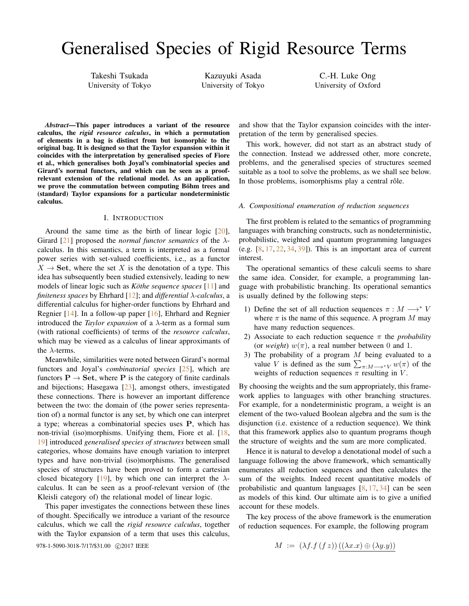# Generalised Species of Rigid Resource Terms

Takeshi Tsukada University of Tokyo

Kazuyuki Asada University of Tokyo

C.-H. Luke Ong University of Oxford

*Abstract*—This paper introduces a variant of the resource calculus, the *rigid resource calculus*, in which a permutation of elements in a bag is distinct from but isomorphic to the original bag. It is designed so that the Taylor expansion within it coincides with the interpretation by generalised species of Fiore et al., which generalises both Joyal's combinatorial species and Girard's normal functors, and which can be seen as a proofrelevant extension of the relational model. As an application, we prove the commutation between computing Böhm trees and (standard) Taylor expansions for a particular nondeterministic calculus.

#### I. INTRODUCTION

<span id="page-0-2"></span>Around the same time as the birth of linear logic [\[20\]](#page-11-0), Girard [\[21\]](#page-11-1) proposed the *normal functor semantics* of the λcalculus. In this semantics, a term is interpreted as a formal power series with set-valued coefficients, i.e., as a functor  $X \rightarrow$  Set, where the set X is the denotation of a type. This idea has subsequently been studied extensively, leading to new models of linear logic such as *Köthe sequence spaces* [\[11\]](#page-11-2) and *finiteness spaces* by Ehrhard [\[12\]](#page-11-3); and *differential* λ*-calculus*, a differential calculus for higher-order functions by Ehrhard and Regnier [\[14\]](#page-11-4). In a follow-up paper [\[16\]](#page-11-5), Ehrhard and Regnier introduced the *Taylor expansion* of a λ-term as a formal sum (with rational coefficients) of terms of the *resource calculus*, which may be viewed as a calculus of linear approximants of the  $\lambda$ -terms.

Meanwhile, similarities were noted between Girard's normal functors and Joyal's *combinatorial species* [\[25\]](#page-11-6), which are functors  $P \rightarrow$  Set, where P is the category of finite cardinals and bijections; Hasegawa [\[23\]](#page-11-7), amongst others, investigated these connections. There is however an important difference between the two: the domain of (the power series representation of) a normal functor is any set, by which one can interpret a type; whereas a combinatorial species uses P, which has non-trivial (iso)morphisms. Unifying them, Fiore et al. [\[18,](#page-11-8) [19\]](#page-11-9) introduced *generalised species of structures* between small categories, whose domains have enough variation to interpret types and have non-trivial (iso)morphisms. The generalised species of structures have been proved to form a cartesian closed bicategory [\[19\]](#page-11-9), by which one can interpret the  $\lambda$ calculus. It can be seen as a proof-relevant version of (the Kleisli category of) the relational model of linear logic.

This paper investigates the connections between these lines of thought. Specifically we introduce a variant of the resource calculus, which we call the *rigid resource calculus*, together with the Taylor expansion of a term that uses this calculus,

978-1-5090-3018-7/17/\$31.00 ©2017 IEEE

and show that the Taylor expansion coincides with the interpretation of the term by generalised species.

This work, however, did not start as an abstract study of the connection. Instead we addressed other, more concrete, problems, and the generalised species of structures seemed suitable as a tool to solve the problems, as we shall see below. In those problems, isomorphisms play a central rôle.

#### <span id="page-0-0"></span>*A. Compositional enumeration of reduction sequences*

The first problem is related to the semantics of programming languages with branching constructs, such as nondeterministic, probabilistic, weighted and quantum programming languages (e.g.  $[8, 17, 22, 34, 39]$  $[8, 17, 22, 34, 39]$  $[8, 17, 22, 34, 39]$  $[8, 17, 22, 34, 39]$  $[8, 17, 22, 34, 39]$  $[8, 17, 22, 34, 39]$  $[8, 17, 22, 34, 39]$  $[8, 17, 22, 34, 39]$  $[8, 17, 22, 34, 39]$ ). This is an important area of current interest.

The operational semantics of these calculi seems to share the same idea. Consider, for example, a programming language with probabilistic branching. Its operational semantics is usually defined by the following steps:

- 1) Define the set of all reduction sequences  $\pi : M \longrightarrow^* V$ where  $\pi$  is the name of this sequence. A program M may have many reduction sequences.
- 2) Associate to each reduction sequence  $\pi$  the *probability* (or *weight*)  $w(\pi)$ , a real number between 0 and 1.
- <span id="page-0-1"></span>3) The probability of a program  $M$  being evaluated to a value V is defined as the sum  $\sum_{\pi:M\longrightarrow^*V} w(\pi)$  of the weights of reduction sequences  $\pi$  resulting in V.

By choosing the weights and the sum appropriately, this framework applies to languages with other branching structures. For example, for a nondeterministic program, a weight is an element of the two-valued Boolean algebra and the sum is the disjunction (i.e. existence of a reduction sequence). We think that this framework applies also to quantum programs though the structure of weights and the sum are more complicated.

Hence it is natural to develop a denotational model of such a language following the above framework, which semantically enumerates all reduction sequences and then calculates the sum of the weights. Indeed recent quantitative models of probabilistic and quantum languages  $[8, 17, 34]$  $[8, 17, 34]$  $[8, 17, 34]$  $[8, 17, 34]$  $[8, 17, 34]$  can be seen as models of this kind. Our ultimate aim is to give a unified account for these models.

The key process of the above framework is the enumeration of reduction sequences. For example, the following program

$$
M := (\lambda f.f(fz))((\lambda x.x) \oplus (\lambda y.y))
$$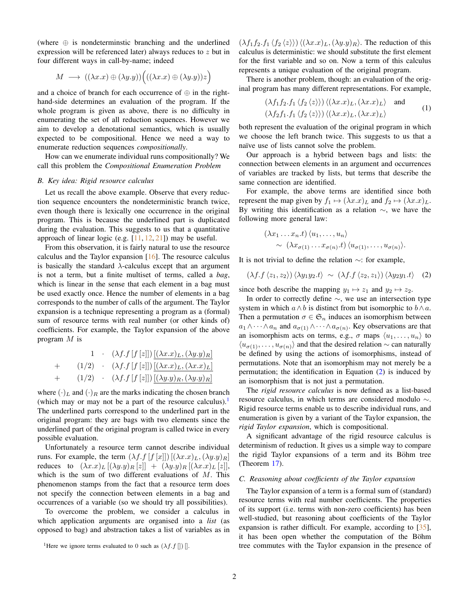(where  $\oplus$  is nondeterminstic branching and the underlined expression will be referenced later) always reduces to z but in four different ways in call-by-name; indeed

$$
M \implies ((\lambda x.x) \oplus (\lambda y.y))(((\lambda x.x) \oplus (\lambda y.y))z)
$$

and a choice of branch for each occurrence of  $\oplus$  in the righthand-side determines an evaluation of the program. If the whole program is given as above, there is no difficulty in enumerating the set of all reduction sequences. However we aim to develop a denotational semantics, which is usually expected to be compositional. Hence we need a way to enumerate reduction sequences *compositionally*.

How can we enumerate individual runs compositionally? We call this problem the *Compositional Enumeration Problem*

#### <span id="page-1-3"></span>*B. Key idea: Rigid resource calculus*

Let us recall the above example. Observe that every reduction sequence encounters the nondeterministic branch twice, even though there is lexically one occurrence in the original program. This is because the underlined part is duplicated during the evaluation. This suggests to us that a quantitative approach of linear logic (e.g.  $[11, 12, 21]$  $[11, 12, 21]$  $[11, 12, 21]$  $[11, 12, 21]$  $[11, 12, 21]$ ) may be useful.

From this observation, it is fairly natural to use the resource calculus and the Taylor expansion [\[16\]](#page-11-5). The resource calculus is basically the standard  $\lambda$ -calculus except that an argument is not a term, but a finite multiset of terms, called a *bag*, which is linear in the sense that each element in a bag must be used exactly once. Hence the number of elements in a bag corresponds to the number of calls of the argument. The Taylor expansion is a technique representing a program as a (formal) sum of resource terms with real number (or other kinds of) coefficients. For example, the Taylor expansion of the above program M is

$$
1 \quad (\lambda f.f [f [z]]) [(\lambda x.x)_L, (\lambda y.y)_R]
$$
  
+ 
$$
(1/2) \quad (\lambda f.f [f [z]]) [(\lambda x.x)_L, (\lambda x.x)_L]
$$
  
+ 
$$
(1/2) \quad (\lambda f.f [f [z]]) [(\lambda y.y)_R, (\lambda y.y)_R]
$$

where  $(\cdot)_L$  and  $(\cdot)_R$  are the marks indicating the chosen branch (which may or may not be a part of the resource calculus).<sup>[1](#page-1-0)</sup> The underlined parts correspond to the underlined part in the original program: they are bags with two elements since the underlined part of the original program is called twice in every possible evaluation.

Unfortunately a resource term cannot describe individual runs. For example, the term  $(\lambda f.f[f[x]])[(\lambda x.x)_L,(\lambda y.y)_R]$ reduces to  $(\lambda x.x)_L [(\lambda y.y)_R [z]] + (\lambda y.y)_R [(\lambda x.x)_L [z]],$ which is the sum of two different evaluations of  $M$ . This phenomenon stamps from the fact that a resource term does not specify the connection between elements in a bag and occurrences of a variable (so we should try all possibilities).

To overcome the problem, we consider a calculus in which application arguments are organised into a *list* (as opposed to bag) and abstraction takes a list of variables as in

 $(\lambda f_1 f_2.f_1 \langle f_2 \langle z \rangle \rangle) \langle (\lambda x.x)_L, (\lambda y.y)_R \rangle$ . The reduction of this calculus is deterministic: we should substitute the first element for the first variable and so on. Now a term of this calculus represents a unique evaluation of the original program.

There is another problem, though: an evaluation of the original program has many different representations. For example,

<span id="page-1-2"></span>
$$
(\lambda f_1 f_2.f_1 \langle f_2 \langle z \rangle \rangle) \langle (\lambda x.x)_L, (\lambda x.x)_L \rangle \text{ and}
$$
  

$$
(\lambda f_2 f_1.f_1 \langle f_2 \langle z \rangle \rangle) \langle (\lambda x.x)_L, (\lambda x.x)_L \rangle \qquad (1)
$$

both represent the evaluation of the original program in which we choose the left branch twice. This suggests to us that a naïve use of lists cannot solve the problem.

Our approach is a hybrid between bags and lists: the connection between elements in an argument and occurrences of variables are tracked by lists, but terms that describe the same connection are identified.

For example, the above terms are identified since both represent the map given by  $f_1 \mapsto (\lambda x.x)_L$  and  $f_2 \mapsto (\lambda x.x)_L$ . By writing this identification as a relation  $\sim$ , we have the following more general law:

$$
\langle \lambda x_1 \dots x_n.t \rangle \langle u_1, \dots, u_n \rangle
$$
  
 
$$
\sim \langle \lambda x_{\sigma(1)} \dots x_{\sigma(n)}.t \rangle \langle u_{\sigma(1)}, \dots, u_{\sigma(n)} \rangle.
$$

It is not trivial to define the relation ∼: for example,

<span id="page-1-1"></span>
$$
(\lambda f.f \langle z_1, z_2 \rangle) \langle \lambda y_1 y_2.t \rangle \sim (\lambda f.f \langle z_2, z_1 \rangle) \langle \lambda y_2 y_1.t \rangle \quad (2)
$$

since both describe the mapping  $y_1 \mapsto z_1$  and  $y_2 \mapsto z_2$ .

In order to correctly define ∼, we use an intersection type system in which  $a \wedge b$  is distinct from but isomorphic to  $b \wedge a$ . Then a permutation  $\sigma \in \mathfrak{S}_n$  induces an isomorphism between  $a_1 \wedge \cdots \wedge a_n$  and  $a_{\sigma(1)} \wedge \cdots \wedge a_{\sigma(n)}$ . Key observations are that an isomorphism acts on terms, e.g.,  $\sigma$  maps  $\langle u_1, \ldots, u_n \rangle$  to  $\langle u_{\sigma(1)}, \ldots, u_{\sigma(n)} \rangle$  and that the desired relation ∼ can naturally be defined by using the actions of isomorphisms, instead of permutations. Note that an isomorphism may not merely be a permutation; the identification in Equation [\(2\)](#page-1-1) is induced by an isomorphism that is not just a permutation.

The *rigid resource calculus* is now defined as a list-based resource calculus, in which terms are considered modulo ∼. Rigid resource terms enable us to describe individual runs, and enumeration is given by a variant of the Taylor expansion, the *rigid Taylor expansion*, which is compositional.

A significant advantage of the rigid resource calculus is determinism of reduction. It gives us a simple way to compare the rigid Taylor expansions of a term and its Böhm tree (Theorem [17\)](#page-8-0).

## <span id="page-1-4"></span>*C. Reasoning about coefficients of the Taylor expansion*

The Taylor expansion of a term is a formal sum of (standard) resource terms with real number coefficients. The properties of its support (i.e. terms with non-zero coefficients) has been well-studied, but reasoning about coefficients of the Taylor expansion is rather difficult. For example, according to [\[35\]](#page-11-15), it has been open whether the computation of the Böhm tree commutes with the Taylor expansion in the presence of

<span id="page-1-0"></span><sup>&</sup>lt;sup>1</sup>Here we ignore terms evaluated to 0 such as  $(\lambda f.f ||)$  [].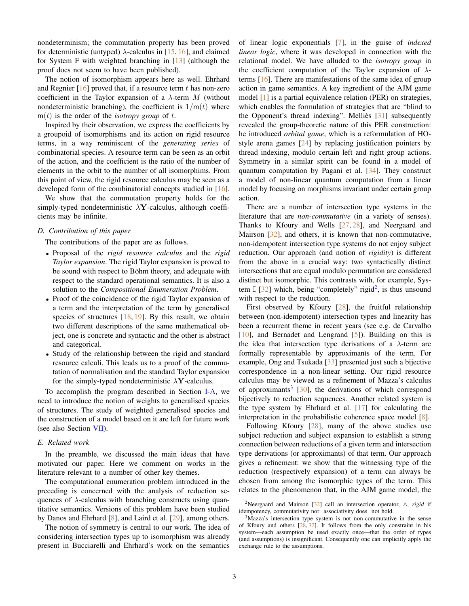nondeterminism; the commutation property has been proved for deterministic (untyped)  $\lambda$ -calculus in [\[15,](#page-11-16) [16\]](#page-11-5), and claimed for System F with weighted branching in [\[13\]](#page-11-17) (although the proof does not seem to have been published).

The notion of isomorphism appears here as well. Ehrhard and Regnier  $[16]$  proved that, if a resource term t has non-zero coefficient in the Taylor expansion of a  $\lambda$ -term M (without nondeterministic branching), the coefficient is  $1/m(t)$  where  $m(t)$  is the order of the *isotropy group* of t.

Inspired by their observation, we express the coefficients by a groupoid of isomorphisms and its action on rigid resource terms, in a way reminiscent of the *generating series* of combinatorial species. A resource term can be seen as an orbit of the action, and the coefficient is the ratio of the number of elements in the orbit to the number of all isomorphims. From this point of view, the rigid resource calculus may be seen as a developed form of the combinatorial concepts studied in [\[16\]](#page-11-5).

We show that the commutation property holds for the simply-typed nondeterministic  $\lambda$ **Y**-calculus, although coefficients may be infinite.

## <span id="page-2-3"></span>*D. Contribution of this paper*

The contributions of the paper are as follows.

- Proposal of the *rigid resource calculus* and the *rigid Taylor expansion*. The rigid Taylor expansion is proved to be sound with respect to Böhm theory, and adequate with respect to the standard operational semantics. It is also a solution to the *Compositional Enumeration Problem*.
- Proof of the coincidence of the rigid Taylor expansion of a term and the interpretation of the term by generalised species of structures  $[18, 19]$  $[18, 19]$  $[18, 19]$ . By this result, we obtain two different descriptions of the same mathematical object, one is concrete and syntactic and the other is abstract and categorical.
- Study of the relationship between the rigid and standard resource calculi. This leads us to a proof of the commutation of normalisation and the standard Taylor expansion for the simply-typed nondeterministic  $\lambda$ **Y**-calculus.

To accomplish the program described in Section [I-A,](#page-0-0) we need to introduce the notion of weights to generalised species of structures. The study of weighted generalised species and the construction of a model based on it are left for future work (see also Section [VII\)](#page-11-18).

## <span id="page-2-2"></span>*E. Related work*

In the preamble, we discussed the main ideas that have motivated our paper. Here we comment on works in the literature relevant to a number of other key themes.

The computational enumeration problem introduced in the preceding is concerned with the analysis of reduction sequences of  $\lambda$ -calculus with branching constructs using quantitative semantics. Versions of this problem have been studied by Danos and Ehrhard [\[8\]](#page-11-10), and Laird et al. [\[29\]](#page-11-19), among others.

The notion of symmetry is central to our work. The idea of considering intersection types up to isomorphism was already present in Bucciarelli and Ehrhard's work on the semantics of linear logic exponentials [\[7\]](#page-11-20), in the guise of *indexed linear logic*, where it was developed in connection with the relational model. We have alluded to the *isotropy group* in the coefficient computation of the Taylor expansion of  $\lambda$ terms [\[16\]](#page-11-5). There are manifestations of the same idea of group action in game semantics. A key ingredient of the AJM game model [\[1\]](#page-11-21) is a partial equivalence relation (PER) on strategies, which enables the formulation of strategies that are "blind to the Opponent's thread indexing". Melliès  $[31]$  $[31]$  subsequently revealed the group-theoretic nature of this PER construction: he introduced *orbital game*, which is a reformulation of HOstyle arena games [\[24\]](#page-11-23) by replacing justification pointers by thread indexing, modulo certain left and right group actions. Symmetry in a similar spirit can be found in a model of quantum computation by Pagani et al. [\[34\]](#page-11-13). They construct a model of non-linear quantum computation from a linear model by focusing on morphisms invariant under certain group action.

There are a number of intersection type systems in the literature that are *non-commutative* (in a variety of senses). Thanks to Kfoury and Wells [\[27,](#page-11-24) [28\]](#page-11-25), and Neergaard and Mairson [\[32\]](#page-11-26), and others, it is known that non-commutative, non-idempotent intersection type systems do not enjoy subject reduction. Our approach (and notion of *rigidity*) is different from the above in a crucial way: two syntactically distinct intersections that are equal modulo permutation are considered distinct but isomorphic. This contrasts with, for example, System  $\mathbb{I}$  [\[32\]](#page-11-26) which, being "completely" rigid<sup>[2](#page-2-0)</sup>, is thus unsound with respect to the reduction.

First observed by Kfoury [\[28\]](#page-11-25), the fruitful relationship between (non-idempotent) intersection types and linearity has been a recurrent theme in recent years (see e.g. de Carvalho [\[10\]](#page-11-27), and Bernadet and Lengrand [\[5\]](#page-11-28)). Building on this is the idea that intersection type derivations of a  $\lambda$ -term are formally representable by approximants of the term. For example, Ong and Tsukada [\[33\]](#page-11-29) presented just such a bijective correspondence in a non-linear setting. Our rigid resource calculus may be viewed as a refinement of Mazza's calculus of approximants<sup>[3](#page-2-1)</sup> [\[30\]](#page-11-30), the derivations of which correspond bijectively to reduction sequences. Another related system is the type system by Ehrhard et al.  $[17]$  for calculating the interpretation in the probabilistic coherence space model [\[8\]](#page-11-10).

Following Kfoury  $[28]$ , many of the above studies use subject reduction and subject expansion to establish a strong connection between reductions of a given term and intersection type derivations (or approximants) of that term. Our approach gives a refinement: we show that the witnessing type of the reduction (respectively expansion) of a term can always be chosen from among the isomorphic types of the term. This relates to the phenomenon that, in the AJM game model, the

<span id="page-2-0"></span><sup>2</sup>Neergaard and Mairson [\[32\]](#page-11-26) call an intersection operator, ∧, *rigid* if idempotency, commutativity nor associativity does not hold.

<span id="page-2-1"></span><sup>3</sup>Mazza's intersection type system is not non-commutative in the sense of Kfoury and others  $[28, 32]$  $[28, 32]$  $[28, 32]$ . It follows from the only constraint in his system—each assumption be used exactly once—that the order of types (and assumptions) is insignificant. Consequently one can implicitly apply the exchange rule to the assumptions.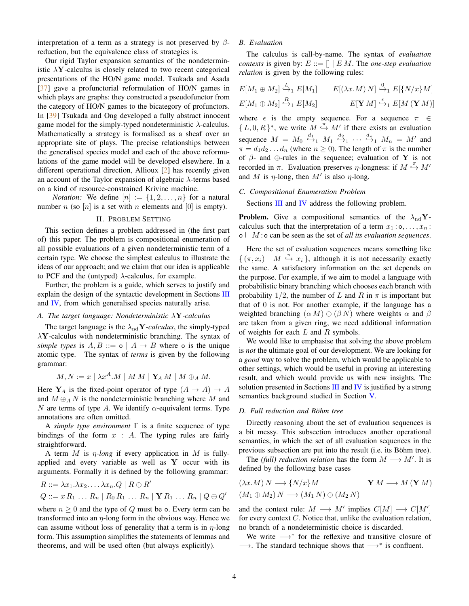interpretation of a term as a strategy is not preserved by  $\beta$ reduction, but the equivalence class of strategies is.

Our rigid Taylor expansion semantics of the nondeterministic  $\lambda$ **Y**-calculus is closely related to two recent categorical presentations of the HO/N game model. Tsukada and Asada [\[37\]](#page-11-31) gave a profunctorial reformulation of HO/N games in which plays are graphs: they constructed a pseudofunctor from the category of HO/N games to the bicategory of profunctors. In [\[39\]](#page-11-14) Tsukada and Ong developed a fully abstract innocent game model for the simply-typed nondeterministic  $\lambda$ -calculus. Mathematically a strategy is formalised as a sheaf over an appropriate site of plays. The precise relationships between the generalised species model and each of the above reformulations of the game model will be developed elsewhere. In a different operational direction, Allioux [\[2\]](#page-11-32) has recently given an account of the Taylor expansion of algebraic  $\lambda$ -terms based on a kind of resource-constrained Krivine machine.

*Notation:* We define  $[n] := \{1, 2, \ldots, n\}$  for a natural number n (so  $[n]$  is a set with n elements and  $[0]$  is empty).

## II. PROBLEM SETTING

This section defines a problem addressed in (the first part of) this paper. The problem is compositional enumeration of all possible evaluations of a given nondeterministic term of a certain type. We choose the simplest calculus to illustrate the ideas of our approach; and we claim that our idea is applicable to PCF and the (untyped)  $\lambda$ -calculus, for example.

Further, the problem is a guide, which serves to justify and explain the design of the syntactic development in Sections [III](#page-4-0) and [IV,](#page-5-0) from which generalised species naturally arise.

#### *A. The target language: Nondeterministic* λY*-calculus*

The target language is the  $\lambda_{\text{nd}}$ **Y**-calculus, the simply-typed  $\lambda$ **Y**-calculus with nondeterministic branching. The syntax of *simple types* is  $A, B ::= \circ | A \rightarrow B$  where  $\circ$  is the unique atomic type. The syntax of *terms* is given by the following grammar:

$$
M, N := x \mid \lambda x^A.M \mid M M \mid \mathbf{Y}_A M \mid M \oplus_A M.
$$

Here  $Y_A$  is the fixed-point operator of type  $(A \rightarrow A) \rightarrow A$ and  $M \oplus_A N$  is the nondeterministic branching where M and N are terms of type A. We identify  $\alpha$ -equivalent terms. Type annotations are often omitted.

A *simple type environment* Γ is a finite sequence of type bindings of the form  $x : A$ . The typing rules are fairly straightforward.

A term  $M$  is  $\eta$ -long if every application in  $M$  is fullyapplied and every variable as well as  $Y$  occur with its arguments. Formally it is defined by the following grammar:

$$
R ::= \lambda x_1 \ldots \lambda x_2 \ldots \lambda x_n \ldots Q \mid R \oplus R'
$$
  

$$
Q ::= x R_1 \ldots R_n \mid R_0 R_1 \ldots R_n \mid \mathbf{Y} R_1 \ldots R_n \mid Q \oplus Q'
$$

where  $n \geq 0$  and the type of Q must be o. Every term can be transformed into an  $\eta$ -long form in the obvious way. Hence we can assume without loss of generality that a term is in  $\eta$ -long form. This assumption simplifies the statements of lemmas and theorems, and will be used often (but always explicitly).

## *B. Evaluation*

The calculus is call-by-name. The syntax of *evaluation contexts* is given by:  $E ::= \left\| \mid E M$ . The *one-step evaluation relation* is given by the following rules:

$$
E[M_1 \oplus M_2] \xrightarrow{L} E[M_1] \qquad E[(\lambda x.M) N] \xrightarrow{0} E[\{N/x\} M]
$$

$$
E[M_1 \oplus M_2] \xrightarrow{R} E[M_2] \qquad E[\mathbf{Y} M] \xrightarrow{\epsilon} E[M (\mathbf{Y} M)]
$$

where  $\epsilon$  is the empty sequence. For a sequence  $\pi \in$  $\{L, 0, R\}^*$ , we write  $M \stackrel{\pi}{\hookrightarrow} M'$  if there exists an evaluation sequence  $M = M_0 \stackrel{d_1}{\hookrightarrow} M_1 \stackrel{d_2}{\hookrightarrow} \cdots \stackrel{d_n}{\hookrightarrow} M_n = M'$  and  $\pi = d_1 d_2 \dots d_n$  (where  $n \ge 0$ ). The length of  $\pi$  is the number of  $\beta$ - and  $\oplus$ -rules in the sequence; evaluation of Y is not recorded in  $\pi$ . Evaluation preserves  $\eta$ -longness: if  $M \stackrel{\pi}{\hookrightarrow} M'$ and M is  $\eta$ -long, then M' is also  $\eta$ -long.

#### <span id="page-3-0"></span>*C. Compositional Enumeration Problem*

Sections [III](#page-4-0) and [IV](#page-5-0) address the following problem.

**Problem.** Give a compositional semantics of the  $\lambda_{\rm nd}$ **Y**calculus such that the interpretation of a term  $x_1 : \mathsf{o}, \ldots, x_n$ :  $o \vdash M$ : o can be seen as the set of *all its evaluation sequences*.

Here the set of evaluation sequences means something like  $\{(\pi, x_i) \mid M \stackrel{\pi}{\hookrightarrow} x_i\}$ , although it is not necessarily exactly the same. A satisfactory information on the set depends on the purpose. For example, if we aim to model a language with probabilistic binary branching which chooses each branch with probability 1/2, the number of L and R in  $\pi$  is important but that of 0 is not. For another example, if the language has a weighted branching  $(\alpha M) \oplus (\beta N)$  where weights  $\alpha$  and  $\beta$ are taken from a given ring, we need additional information of weights for each  $L$  and  $R$  symbols.

We would like to emphasise that solving the above problem is *not* the ultimate goal of our development. We are looking for a *good* way to solve the problem, which would be applicable to other settings, which would be useful in proving an interesting result, and which would provide us with new insights. The solution presented in Sections [III](#page-4-0) and [IV](#page-5-0) is justified by a strong semantics background studied in Section [V.](#page-8-1)

#### *D. Full reduction and Bohm tree ¨*

Directly reasoning about the set of evaluation sequences is a bit messy. This subsection introduces another operational semantics, in which the set of all evaluation sequences in the previous subsection are put into the result (i.e. its Böhm tree).

The *(full) reduction relation* has the form  $M \longrightarrow M'$ . It is defined by the following base cases

$$
(\lambda x.M) N \longrightarrow \{N/x\} M \qquad \mathbf{Y} M \longrightarrow M (\mathbf{Y} M)
$$

$$
(M_1 \oplus M_2) N \longrightarrow (M_1 N) \oplus (M_2 N)
$$

and the context rule:  $M \longrightarrow M'$  implies  $C[M] \longrightarrow C[M']$ for every context C. Notice that, unlike the evaluation relation, no branch of a nondeterministic choice is discarded.

We write  $\longrightarrow^*$  for the reflexive and transitive closure of  $\longrightarrow$ . The standard technique shows that  $\longrightarrow^*$  is confluent.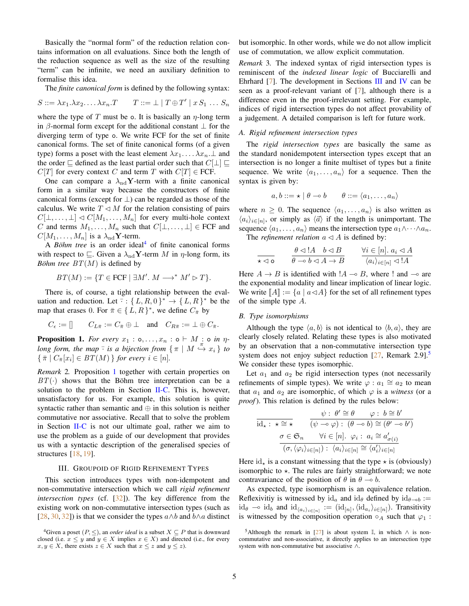Basically the "normal form" of the reduction relation contains information on all evaluations. Since both the length of the reduction sequence as well as the size of the resulting "term" can be infinite, we need an auxiliary definition to formalise this idea.

The *finite canonical form* is defined by the following syntax:

$$
S ::= \lambda x_1 \ldots \lambda x_n \ldots \lambda x_n \ldots
$$
\n
$$
T ::= \bot \mid T \oplus T' \mid x \, S_1 \ldots S_n
$$

where the type of T must be o. It is basically an  $\eta$ -long term in  $\beta$ -normal form except for the additional constant  $\bot$  for the diverging term of type o. We write FCF for the set of finite canonical forms. The set of finite canonical forms (of a given type) forms a poset with the least element  $\lambda x_1 \dots \lambda x_n \perp$  and the order  $\sqsubseteq$  defined as the least partial order such that  $C[\perp] \sqsubseteq$  $C[T]$  for every context C and term T with  $C[T] \in$  FCF.

One can compare a  $\lambda_{\rm nd}$ Y-term with a finite canonical form in a similar way because the constructors of finite canonical forms (except for  $\perp$ ) can be regarded as those of the calculus. We write  $T \triangleleft M$  for the relation consisting of pairs  $C[\bot, \ldots, \bot] \triangleleft C[M_1, \ldots, M_n]$  for every multi-hole context C and terms  $M_1, \ldots, M_n$  such that  $C[\perp, \ldots, \perp] \in \text{FCF}$  and  $C[M_1, \ldots, M_n]$  is a  $\lambda_{\rm nd}$ **Y**-term.

A *Böhm tree* is an order ideal<sup>[4](#page-4-1)</sup> of finite canonical forms with respect to  $\subseteq$ . Given a  $\lambda_{\rm nd}$ **Y**-term M in  $\eta$ -long form, its *Böhm tree*  $BT(M)$  is defined by

$$
BT(M) := \{ T \in FCF \mid \exists M'.\ M \longrightarrow^* M' \rhd T \}.
$$

There is, of course, a tight relationship between the evaluation and reduction. Let  $\overline{\cdot}$ :  $\{L, R, 0\}^* \rightarrow \{L, R\}^*$  be the map that erases 0. For  $\bar{\pi} \in \{L, R\}^*$ , we define  $C_{\bar{\pi}}$  by

$$
C_{\epsilon} := [] \qquad C_{L\bar{\pi}} := C_{\bar{\pi}} \oplus \bot \quad \text{and} \quad C_{R\bar{\pi}} := \bot \oplus C_{\bar{\pi}}.
$$

<span id="page-4-2"></span>**Proposition 1.** For every  $x_1 : \text{o}, \ldots, x_n : \text{o} \vdash M : \text{o} \text{ in } \eta$ *long form, the map*  $\overline{\cdot}$  *is a bijection from*  $\{\pi \mid M \stackrel{\pi}{\hookrightarrow} x_i\}$  *to*  $\{\bar{\pi} \mid C_{\bar{\pi}}[x_i] \in BT(M)\}$  *for every*  $i \in [n]$ *.* 

<span id="page-4-5"></span>*Remark* 2*.* Proposition [1](#page-4-2) together with certain properties on  $BT(\cdot)$  shows that the Böhm tree interpretation can be a solution to the problem in Section  $II-C$ . This is, however, unsatisfactory for us. For example, this solution is quite syntactic rather than semantic and  $oplus$  in this solution is neither commutative nor associative. Recall that to solve the problem in Section  $II-C$  is not our ultimate goal, rather we aim to use the problem as a guide of our development that provides us with a syntactic description of the generalised species of structures [\[18,](#page-11-8) [19\]](#page-11-9).

#### III. GROUPOID OF RIGID REFINEMENT TYPES

<span id="page-4-0"></span>This section introduces types with non-idempotent and non-commutative intersection which we call *rigid refinement intersection types* (cf. [\[32\]](#page-11-26)). The key difference from the existing work on non-commutative intersection types (such as [\[28,](#page-11-25) [30,](#page-11-30) [32\]](#page-11-26)) is that we consider the types  $a \wedge b$  and  $b \wedge a$  distinct but isomorphic. In other words, while we do not allow implicit use of commutation, we allow explicit commutation.

<span id="page-4-4"></span>*Remark* 3*.* The indexed syntax of rigid intersection types is reminiscent of the *indexed linear logic* of Bucciarelli and Ehrhard  $[7]$ . The development in Sections [III](#page-4-0) and [IV](#page-5-0) can be seen as a proof-relevant variant of [\[7\]](#page-11-20), although there is a difference even in the proof-irrelevant setting. For example, indices of rigid intersection types do not affect provability of a judgement. A detailed comparison is left for future work.

## *A. Rigid refinement intersection types*

The *rigid intersection types* are basically the same as the standard nonidempotent intersection types except that an intersection is no longer a finite multiset of types but a finite sequence. We write  $\langle a_1, \ldots, a_n \rangle$  for a sequence. Then the syntax is given by:

$$
a, b ::= \star \mid \theta \multimap b \qquad \theta ::= \langle a_1, \dots, a_n \rangle
$$

where  $n \geq 0$ . The sequence  $\langle a_1, \ldots, a_n \rangle$  is also written as  $\langle a_i \rangle_{i \in [n]}$ , or simply as  $\langle \vec{a} \rangle$  if the length is unimportant. The sequence  $\langle a_1, \ldots, a_n \rangle$  means the intersection type  $a_1 \wedge \cdots \wedge a_n$ . The *refinement relation*  $a \triangleleft A$  is defined by:

$$
\frac{\theta \lhd! A \quad b \lhd B}{\theta \rhd b \lhd A \to B} \qquad \frac{\forall i \in [n]. \ a_i \lhd A}{\langle a_i \rangle_{i \in [n]} \lhd! A}
$$

Here  $A \rightarrow B$  is identified with  $A \rightarrow B$ , where ! and  $\rightarrow$  are the exponential modality and linear implication of linear logic. We write  $\llbracket A \rrbracket := \{a \mid a \triangleleft A\}$  for the set of all refinement types of the simple type A.

#### <span id="page-4-6"></span>*B. Type isomorphisms*

Although the type  $\langle a, b \rangle$  is not identical to  $\langle b, a \rangle$ , they are clearly closely related. Relating these types is also motivated by an observation that a non-commutative intersection type system does not enjoy subject reduction  $[27,$  Remark 2.9].<sup>[5](#page-4-3)</sup> We consider these types isomorphic.

Let  $a_1$  and  $a_2$  be rigid intersection types (not necessarily refinements of simple types). We write  $\varphi : a_1 \cong a_2$  to mean that  $a_1$  and  $a_2$  are isomorphic, of which  $\varphi$  is a *witness* (or a *proof*). This relation is defined by the rules below:

$$
\dfrac{\psi:\;\theta'\cong\theta\qquad\varphi:\;b\cong b'}{(\psi\multimap\varphi):\;(\theta\multimap b)\cong(\theta'\multimap b')}
$$
\n
$$
\dfrac{\sigma\in\mathfrak{S}_n\qquad\forall i\in[n].\;\varphi_i:\;a_i\cong a'_{\sigma(i)}}{(\sigma,\langle\varphi_i\rangle_{i\in[n]}):\;\langle a_i\rangle_{i\in[n]}\cong\langle a'_i\rangle_{i\in[n]}}
$$

Here  $id_{\star}$  is a constant witnessing that the type  $\star$  is (obviously) isomorphic to  $\star$ . The rules are fairly straightforward; we note contravariance of the position of  $\theta$  in  $\theta \to b$ .

As expected, type isomorphism is an equivalence relation. Reflexivitiy is witnessed by  $\mathrm{id}_a$  and  $\mathrm{id}_\theta$  defined by  $\mathrm{id}_{\theta \to b} :=$  $\mathrm{id}_{\theta} \multimap \mathrm{id}_{b}$  and  $\mathrm{id}_{\langle a_{i}\rangle_{i\in[n]}} := (\mathrm{id}_{[n]}, \langle \mathrm{id}_{a_{i}}\rangle_{i\in[n]})$ . Transitivity is witnessed by the composition operation  $\circ_A$  such that  $\varphi_1$ :

<span id="page-4-1"></span><sup>&</sup>lt;sup>4</sup>Given a poset ( $P, \leq$ ), an *order ideal* is a subset  $X \subseteq P$  that is downward closed (i.e.  $x \le y$  and  $y \in X$  implies  $x \in X$ ) and directed (i.e., for every  $x, y \in X$ , there exists  $z \in X$  such that  $x \le z$  and  $y \le z$ ).

<span id="page-4-3"></span><sup>5</sup>Although the remark in [\[27\]](#page-11-24) is about system  $\mathbb{I}$ , in which  $\wedge$  is noncommutative and non-associative, it directly applies to an intersection type system with non-commutative but associative ∧.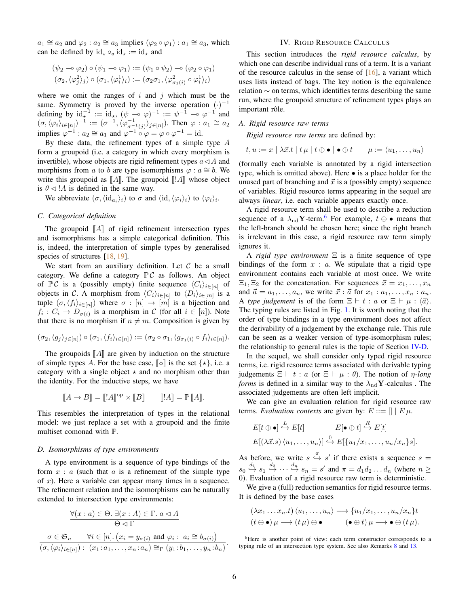$a_1 \cong a_2$  and  $\varphi_2 : a_2 \cong a_3$  implies  $(\varphi_2 \circ \varphi_1) : a_1 \cong a_3$ , which can be defined by  $id_{\star} \circ_{\circ} id_{\star} := id_{\star}$  and

$$
(\psi_2 \multimap \varphi_2) \circ (\psi_1 \multimap \varphi_1) := (\psi_1 \circ \psi_2) \multimap (\varphi_2 \circ \varphi_1)
$$

$$
(\sigma_2, \langle \varphi_j^2 \rangle_j) \circ (\sigma_1, \langle \varphi_i^1 \rangle_i) := (\sigma_2 \sigma_1, \langle \varphi_{\sigma_1(i)}^2 \circ \varphi_i^1 \rangle_i)
$$

where we omit the ranges of  $i$  and  $j$  which must be the same. Symmetry is proved by the inverse operation  $(·)^{-1}$ defining by  $\mathrm{id}_{\star}^{-1} := \mathrm{id}_{\star}$ ,  $(\psi - \circ \varphi)^{-1} := \psi^{-1} - \circ \varphi^{-1}$  and  $(\sigma,\langle \varphi_i \rangle_{i \in [n]})^{-1} := (\sigma^{-1},\langle \varphi_{\sigma^{-1}(j)}^{-1} \rangle_{j \in [n]})$ . Then  $\varphi : a_1 \cong a_2$ implies  $\varphi^{-1}$ :  $a_2 \cong a_1$  and  $\varphi^{-1} \circ \varphi = \varphi \circ \varphi^{-1} = \text{id}$ .

By these data, the refinement types of a simple type A form a groupoid (i.e. a category in which every morphism is invertible), whose objects are rigid refinement types  $a \triangleleft A$  and morphisms from a to b are type isomorphisms  $\varphi : a \cong b$ . We write this groupoid as  $\llbracket A \rrbracket$ . The groupoid  $\llbracket A \rrbracket$  whose object is  $\theta \triangleleft !A$  is defined in the same way.

We abbreviate  $(\sigma, \langle id_{a_i} \rangle_i)$  to  $\sigma$  and  $(id, \langle \varphi_i \rangle_i)$  to  $\langle \varphi_i \rangle_i$ .

## <span id="page-5-2"></span>*C. Categorical definition*

The groupoid  $\llbracket A \rrbracket$  of rigid refinement intersection types and isomorphisms has a simple categorical definition. This is, indeed, the interpretation of simple types by generalised species of structures [\[18,](#page-11-8) [19\]](#page-11-9).

We start from an auxiliary definition. Let  $C$  be a small category. We define a category  $\mathbb{P} C$  as follows. An object of  $\mathbb{P} \mathcal{C}$  is a (possibly empty) finite sequence  $\langle C_i \rangle_{i \in [n]}$  of objects in C. A morphism from  $\langle C_i \rangle_{i \in [n]}$  to  $\langle D_i \rangle_{i \in [m]}$  is a tuple  $(\sigma, \langle f_i \rangle_{i \in [n]})$  where  $\sigma : [n] \to [m]$  is a bijection and  $f_i: C_i \to D_{\sigma(i)}$  is a morphism in C (for all  $i \in [n]$ ). Note that there is no morphism if  $n \neq m$ . Composition is given by

$$
(\sigma_2, \langle g_j \rangle_{j \in [n]}) \circ (\sigma_1, \langle f_i \rangle_{i \in [n]}) := (\sigma_2 \circ \sigma_1, \langle g_{\sigma_1(i)} \circ f_i \rangle_{i \in [n]}).
$$

The groupoids  $\llbracket A \rrbracket$  are given by induction on the structure of simple types A. For the base case,  $\llbracket \circ \rrbracket$  is the set  $\{ \star \}$ , i.e. a category with a single object  $\star$  and no morphism other than the identity. For the inductive steps, we have

$$
\llbracket A \to B \rrbracket = \llbracket !A \rrbracket^{\text{op}} \times \llbracket B \rrbracket \qquad \llbracket !A \rrbracket = \mathbb{P} \llbracket A \rrbracket.
$$

This resembles the interpretation of types in the relational model: we just replace a set with a groupoid and the finite multiset comonad with P.

#### *D. Isomorphisms of type environments*

A type environment is a sequence of type bindings of the form  $x : a$  (such that  $a$  is a refinement of the simple type of  $x$ ). Here a variable can appear many times in a sequence. The refinement relation and the isomorphisms can be naturally extended to intersection type environments:

$$
\frac{\forall (x : a) \in \Theta \ldotp \exists (x : A) \in \Gamma \ldotp a \lhd A}{\Theta \lhd \Gamma}
$$
\n
$$
\sigma \in \mathfrak{S}_n \qquad \forall i \in [n] \ldotp (x_i = y_{\sigma(i)} \text{ and } \varphi_i \ldotp a_i \cong b_{\sigma(i)})
$$
\n
$$
(\sigma, \langle \varphi_i \rangle_{i \in [n]}): (x_1 : a_1, \ldots, x_n : a_n) \cong_{\Gamma} (y_1 : b_1, \ldots, y_n : b_n).
$$

## IV. RIGID RESOURCE CALCULUS

<span id="page-5-0"></span>This section introduces the *rigid resource calculus*, by which one can describe individual runs of a term. It is a variant of the resource calculus in the sense of  $[16]$ , a variant which uses lists instead of bags. The key notion is the equivalence relation ∼ on terms, which identifies terms describing the same run, where the groupoid structure of refinement types plays an important rôle.

#### *A. Rigid resource raw terms*

*Rigid resource raw terms* are defined by:

 $t, u := x \mid \lambda \vec{x}.t \mid t \mu \mid t \oplus \bullet \mid \bullet \oplus t \qquad \mu := \langle u_1, \ldots, u_n \rangle$ 

(formally each variable is annotated by a rigid intersection type, which is omitted above). Here • is a place holder for the unused part of branching and  $\vec{x}$  is a (possibly empty) sequence of variables. Rigid resource terms appearing in the sequel are always *linear*, i.e. each variable appears exactly once.

A rigid resource term shall be used to describe a reduction sequence of a  $\lambda_{\text{nd}}$ **Y**-term.<sup>[6](#page-5-1)</sup> For example,  $t \oplus \bullet$  means that the left-branch should be chosen here; since the right branch is irrelevant in this case, a rigid resource raw term simply ignores it.

A *rigid type environment* Ξ is a finite sequence of type bindings of the form  $x : a$ . We stipulate that a rigid type environment contains each variable at most once. We write  $\Xi_1, \Xi_2$  for the concatenation. For sequences  $\vec{x} = x_1, \ldots, x_n$ and  $\vec{a} = a_1, \ldots, a_n$ , we write  $\vec{x} : \vec{a}$  for  $x_1 : a_1, \ldots, x_n : a_n$ . A *type judgement* is of the form  $\Xi \vdash t : a$  or  $\Xi \vdash \mu : \langle \vec{a} \rangle$ . The typing rules are listed in Fig. [1.](#page-6-0) It is worth noting that the order of type bindings in a type environment does not affect the derivability of a judgement by the exchange rule. This rule can be seen as a weaker version of type-isomorphism rules; the relationship to general rules is the topic of Section  $IV-D$ .

In the sequel, we shall consider only typed rigid resource terms, i.e. rigid resource terms associated with derivable typing judgements  $\Xi \vdash t : a$  (or  $\Xi \vdash \mu : \theta$ ). The notion of  $\eta$ -long *forms* is defined in a similar way to the  $\lambda_{\text{nd}}$ **Y**-calculus. The associated judgements are often left implicit.

We can give an evaluation relation for rigid resource raw terms. *Evaluation contexts* are given by:  $E ::= \|\| E \mu$ .

$$
E[t \oplus \bullet] \stackrel{L}{\hookrightarrow} E[t] \qquad E[\bullet \oplus t] \stackrel{R}{\hookrightarrow} E[t]
$$

$$
E[(\lambda \vec{x}.s) \langle u_1, \ldots, u_n \rangle] \stackrel{0}{\hookrightarrow} E[\{u_1/x_1, \ldots, u_n/x_n\} s].
$$

As before, we write  $s \stackrel{\pi}{\hookrightarrow} s'$  if there exists a sequence  $s =$  $s_0 \stackrel{d_1}{\hookrightarrow} s_1 \stackrel{d_2}{\hookrightarrow} \cdots \stackrel{d_n}{\hookrightarrow} s_n = s'$  and  $\pi = d_1 d_2 \ldots d_n$  (where  $n \geq$ 0). Evaluation of a rigid resource raw term is deterministic.

We give a (full) reduction semantics for rigid resource terms. It is defined by the base cases

$$
(\lambda x_1 \ldots x_n.t) \langle u_1, \ldots, u_n \rangle \longrightarrow \{u_1/x_1, \ldots, u_n/x_n\}t (t \oplus \bullet) \mu \longrightarrow (t \mu) \oplus \bullet \qquad (\bullet \oplus t) \mu \longrightarrow \bullet \oplus (t \mu).
$$

<span id="page-5-1"></span><sup>6</sup>Here is another point of view: each term constructor corresponds to a typing rule of an intersection type system. See also Remarks [8](#page-6-2) and [13.](#page-7-0)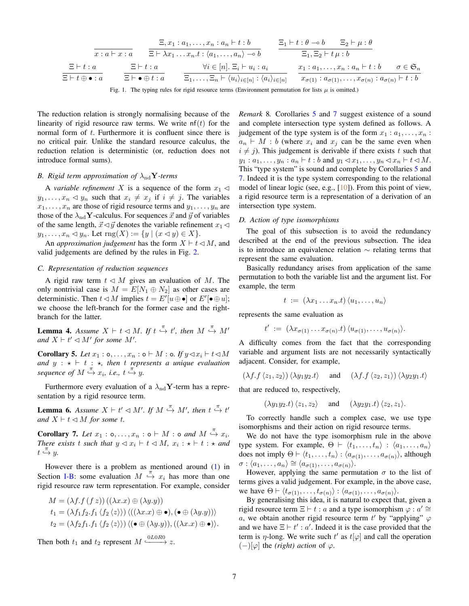$$
\frac{\Xi, x_1 : a_1, \dots, x_n : a_n \vdash t : b}{\Xi \vdash \lambda x_1 \dots x_n \vdots \langle a_1, \dots, a_n \rangle \to b} \qquad \frac{\Xi_1 \vdash t : \theta \to b \qquad \Xi_2 \vdash \mu : \theta \to b \qquad \Xi_3 \vdash t : \theta \to b \qquad \Xi_4 \vdash t : a \qquad \Xi \vdash t : a \qquad \Xi \vdash t : a \qquad \frac{\Xi \vdash t : a}{\Xi \vdash t \oplus \bullet : a} \qquad \frac{\Xi \vdash t : a}{\Xi \vdash \bullet \oplus t : a} \qquad \frac{\forall i \in [n] \vdash \Xi_i \vdash u_i : a_i}{\Xi_1, \dots, \Xi_n \vdash \langle u_i \rangle_{i \in [n]} : \langle a_i \rangle_{i \in [n]} \qquad \frac{x_1 : a_1, \dots, x_n : a_n \vdash t : b \qquad \sigma \in \mathfrak{S}_n}{x_{\sigma(1)} : a_{\sigma(1)}, \dots, x_{\sigma(n)} : a_{\sigma(n)} \vdash t : b}
$$

<span id="page-6-0"></span>Fig. 1. The typing rules for rigid resource terms (Environment permutation for lists  $\mu$  is omitted.)

The reduction relation is strongly normalising because of the linearity of rigid resource raw terms. We write  $nf(t)$  for the normal form of t. Furthermore it is confluent since there is no critical pair. Unlike the standard resource calculus, the reduction relation is deterministic (or, reduction does not introduce formal sums).

## *B. Rigid term approximation of*  $\lambda_{\text{nd}}$ **Y**-terms

A *variable refinement* X is a sequence of the form  $x_1 \triangleleft$  $y_1, \ldots, x_n \lhd y_n$  such that  $x_i \neq x_j$  if  $i \neq j$ . The variables  $x_1, \ldots, x_n$  are those of rigid resource terms and  $y_1, \ldots, y_n$  are those of the  $\lambda_{\rm nd}$ **Y**-calculus. For sequences  $\vec{x}$  and  $\vec{y}$  of variables of the same length,  $\vec{x} \triangleleft \vec{y}$  denotes the variable refinement  $x_1 \triangleleft$  $y_1, \ldots, x_n \triangleleft y_n$ . Let  $\text{rng}(X) := \{ y \mid (x \triangleleft y) \in X \}.$ 

An *approximation judgement* has the form  $X \vdash t \triangleleft M$ , and valid judgements are defined by the rules in Fig. [2.](#page-7-1)

## *C. Representation of reduction sequences*

A rigid raw term  $t \triangleleft M$  gives an evaluation of M. The only nontrivial case is  $M = E[N_1 \oplus N_2]$  as other cases are deterministic. Then  $t \triangleleft M$  implies  $t = E'[u \oplus \bullet]$  or  $E'[\bullet \oplus u]$ ; we choose the left-branch for the former case and the rightbranch for the latter.

**Lemma 4.** Assume  $X \vdash t \triangleleft M$ . If  $t \stackrel{\pi}{\hookrightarrow} t'$ , then  $M \stackrel{\pi}{\hookrightarrow} M'$ *and*  $X \vdash t' \lhd M'$  *for some*  $M'$ *.* 

<span id="page-6-3"></span>**Corollary 5.** Let  $x_1 : \circ, \dots, x_n : \circ \vdash M : \circ$ . If  $y \triangleleft x_i \vdash t \triangleleft M$ *and*  $y : \star \vdash t : \star$ *, then*  $t$  *represents a unique evaluation* sequence of  $M \stackrel{\pi}{\hookrightarrow} x_i$ , i.e.,  $t \stackrel{\pi}{\hookrightarrow} y$ .

Furthermore every evaluation of a  $\lambda_{\text{nd}}$ Y-term has a representation by a rigid resource term.

**Lemma 6.** Assume  $X \vdash t' \lhd M'$ . If  $M \stackrel{\pi}{\hookrightarrow} M'$ , then  $t \stackrel{\pi}{\hookrightarrow} t'$ *and*  $X \vdash t \triangleleft M$  *for some t.* 

<span id="page-6-4"></span>**Corollary 7.** Let  $x_1 : \circ, \dots, x_n : \circ \vdash M : \circ \text{ and } M \stackrel{\pi}{\hookrightarrow} x_i$ . *There exists* t *such that*  $y \leq x_i \vdash t \leq M$ ,  $x_i : \star \vdash t : \star$  *and*  $t \stackrel{\pi}{\hookrightarrow} y$ .

However there is a problem as mentioned around [\(1\)](#page-1-2) in Section [I-B:](#page-1-3) some evaluation  $M \stackrel{\pi}{\hookrightarrow} x_i$  has more than one rigid resource raw term representation. For example, consider

$$
M = (\lambda f.f (f z)) ((\lambda x.x) \oplus (\lambda y.y))
$$
  
\n
$$
t_1 = (\lambda f_1 f_2.f_1 \langle f_2 \langle z \rangle \rangle) \langle ((\lambda x.x) \oplus \bullet), (\bullet \oplus (\lambda y.y)) \rangle
$$
  
\n
$$
t_2 = (\lambda f_2 f_1.f_1 \langle f_2 \langle z \rangle \rangle) \langle (\bullet \oplus (\lambda y.y)), ((\lambda x.x) \oplus \bullet) \rangle.
$$

Then both  $t_1$  and  $t_2$  represent  $M \xrightarrow{0L0R0} z$ .

<span id="page-6-2"></span>*Remark* 8*.* Corollaries [5](#page-6-3) and [7](#page-6-4) suggest existence of a sound and complete intersection type system defined as follows. A judgement of the type system is of the form  $x_1 : a_1, \ldots, x_n$ :  $a_n \vdash M : b$  (where  $x_i$  and  $x_j$  can be the same even when  $i \neq j$ ). This judgement is derivable if there exists t such that  $y_1 : a_1, \ldots, y_n : a_n \vdash t : b \text{ and } y_1 \lhd x_1, \ldots, y_n \lhd x_n \vdash t \lhd M.$ This "type system" is sound and complete by Corollaries [5](#page-6-3) and [7.](#page-6-4) Indeed it is the type system corresponding to the relational model of linear logic (see, e.g., [\[10\]](#page-11-27)). From this point of view, a rigid resource term is a representation of a derivation of an intersection type system.

#### <span id="page-6-1"></span>*D. Action of type isomorphisms*

The goal of this subsection is to avoid the redundancy described at the end of the previous subsection. The idea is to introduce an equivalence relation ∼ relating terms that represent the same evaluation.

Basically redundancy arises from application of the same permutation to both the variable list and the argument list. For example, the term

$$
t := (\lambda x_1 \ldots x_n \cdot t) \langle u_1, \ldots, u_n \rangle
$$

represents the same evaluation as

$$
t' := (\lambda x_{\sigma(1)} \dots x_{\sigma(n)} \cdot t) \langle u_{\sigma(1)}, \dots, u_{\sigma(n)} \rangle.
$$

A difficulty comes from the fact that the corresponding variable and argument lists are not necessarily syntactically adjacent. Consider, for example,

$$
(\lambda f.f \langle z_1, z_2 \rangle) \langle \lambda y_1 y_2.t \rangle \quad \text{and} \quad (\lambda f.f \langle z_2, z_1 \rangle) \langle \lambda y_2 y_1.t \rangle
$$

that are reduced to, respectively,

$$
(\lambda y_1 y_2.t) \langle z_1, z_2 \rangle
$$
 and  $(\lambda y_2 y_1.t) \langle z_2, z_1 \rangle$ .

To correctly handle such a complex case, we use type isomorphisms and their action on rigid resource terms.

We do not have the type isomorphism rule in the above type system. For example,  $\Theta \vdash \langle t_1, \ldots, t_n \rangle : \langle a_1, \ldots, a_n \rangle$ does not imply  $\Theta \vdash \langle t_1, \ldots, t_n \rangle : \langle a_{\sigma(1)}, \ldots, a_{\sigma(n)} \rangle$ , although  $\sigma : \langle a_1, \ldots, a_n \rangle \cong \langle a_{\sigma(1)}, \ldots, a_{\sigma(n)} \rangle.$ 

However, applying the same permutation  $\sigma$  to the list of terms gives a valid judgement. For example, in the above case, we have  $\Theta \vdash \langle t_{\sigma(1)}, \ldots, t_{\sigma(n)} \rangle : \langle a_{\sigma(1)}, \ldots, a_{\sigma(n)} \rangle$ .

By generalising this idea, it is natural to expect that, given a rigid resource term  $\Xi \vdash t : a$  and a type isomorphism  $\varphi : a' \cong$ a, we obtain another rigid resource term  $t'$  by "applying"  $\varphi$ and we have  $\Xi \vdash t' : a'$ . Indeed it is the case provided that the term is  $\eta$ -long. We write such  $t'$  as  $t[\varphi]$  and call the operation  $(-)[\varphi]$  the *(right)* action of  $\varphi$ .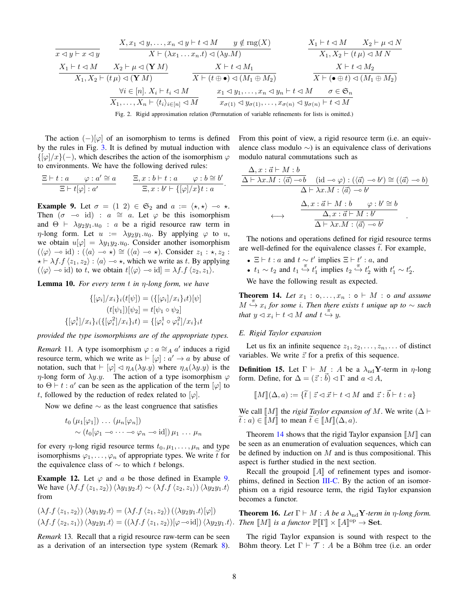$$
\frac{X, x_1 \lhd y, \ldots, x_n \lhd y \vdash t \lhd M \qquad y \notin \text{rng}(X)}{X \vdash (\lambda x_1 \ldots x_n \cdot t) \lhd (\lambda y \cdot M)} \qquad \frac{X_1 \vdash t \lhd M \qquad X_2 \vdash \mu \lhd N}{X_1, X_2 \vdash (t \mu) \lhd M \cdot N}
$$
\n
$$
\frac{X_1 \vdash t \lhd M \qquad X_2 \vdash \mu \lhd (\mathbf{Y} \cdot M)}{X_1, X_2 \vdash (t \mu) \lhd (\mathbf{Y} \cdot M)} \qquad \frac{X \vdash t \lhd M_1 \qquad X \vdash t \lhd M_2}{X \vdash (t \oplus \bullet) \lhd (M_1 \oplus M_2)} \qquad \frac{X \vdash t \lhd M_2}{X \vdash (\bullet \oplus t) \lhd (M_1 \oplus M_2)}
$$
\n
$$
\frac{\forall i \in [n] \cdot X_i \vdash t_i \lhd M \qquad x_1 \lhd y_1, \ldots, x_n \lhd y_n \vdash t \lhd M \qquad \sigma \in \mathfrak{S}_n}{x_{\sigma(1)} \lhd y_{\sigma(1)}, \ldots, x_{\sigma(n)} \lhd y_{\sigma(n)} \vdash t \lhd M}
$$

<span id="page-7-1"></span>Fig. 2. Rigid approximation relation (Permutation of variable refinements for lists is omitted.)

The action  $(-)|\varphi|$  of an isomorphism to terms is defined by the rules in Fig. [3.](#page-8-2) It is defined by mutual induction with  $\{\phi(x)(-),\right)$ , which describes the action of the isomorphism  $\varphi$ to environments. We have the following derived rules:

$$
\frac{\Xi\vdash t:a\qquad \varphi:a'\cong a}{\Xi\vdash t[\varphi]:a'}\qquad \frac{\Xi,x:b\vdash t:a\qquad \varphi:b\cong b'}{\Xi,x:b'\vdash \{[\varphi]/x\}t:a}.
$$

<span id="page-7-2"></span>**Example 9.** Let  $\sigma = (1 \ 2) \in \mathfrak{S}_2$  and  $a := \langle \star, \star \rangle \multimap \star$ . Then  $(\sigma \rightarrow id)$  :  $a \cong a$ . Let  $\varphi$  be this isomorphism and  $\Theta \vdash \lambda y_2y_1.u_0$ : a be a rigid resource raw term in  $\eta$ -long form. Let  $u := \lambda y_2 y_1 u_0$ . By applying  $\varphi$  to u, we obtain  $u[\varphi] = \lambda y_1 y_2 u_0$ . Consider another isomorphism  $(\langle \varphi \rangle \multimap id) : (\langle a \rangle \multimap \star) \cong (\langle a \rangle \multimap \star).$  Consider  $z_1 : \star, z_2 :$  $\star \vdash \lambda f.f \langle z_1, z_2 \rangle : \langle a \rangle \rightarrow \star$ , which we write as t. By applying  $(\langle \varphi \rangle \neg \circ id)$  to t, we obtain  $t[\langle \varphi \rangle \neg \circ id] = \lambda f.f \langle z_2, z_1 \rangle$ .

Lemma 10. *For every term* t *in* η*-long form, we have*

$$
\{[\varphi_i]/x_i\}_i(t[\psi]) = (\{[\varphi_i]/x_i\}_i t)[\psi]
$$

$$
(t[\psi_1])[\psi_2] = t[\psi_1 \circ \psi_2]
$$

$$
\{[\varphi_i^1]/x_i\}_i(\{[\varphi_i^2]/x_i\}_i t) = \{[\varphi_i^1 \circ \varphi_i^2]/x_i\}_i t
$$

*provided the type isomorphisms are of the appropriate types.*

*Remark* 11. A type isomorphism  $\varphi$  :  $a \cong_A a'$  induces a rigid resource term, which we write as  $\vdash [\varphi] : a' \to a$  by abuse of notation, such that  $\vdash [\varphi] \lhd \eta_A(\lambda y.y)$  where  $\eta_A(\lambda y.y)$  is the  $\eta$ -long form of  $\lambda y.y$ . The action of a type isomorphism  $\varphi$ to  $\Theta \vdash t : a'$  can be seen as the application of the term  $[\varphi]$  to t, followed by the reduction of redex related to  $[\varphi]$ .

Now we define  $\sim$  as the least congruence that satisfies

$$
t_0 \left( \mu_1[\varphi_1] \right) \dots \left( \mu_n[\varphi_n] \right) \n\sim \left( t_0[\varphi_1 \multimap \dots \multimap \varphi_n \multimap \mathrm{id}] \right) \mu_1 \dots \mu_n
$$

for every  $\eta$ -long rigid resource terms  $t_0, \mu_1, \ldots, \mu_n$  and type isomorphisms  $\varphi_1, \ldots, \varphi_n$  of appropriate types. We write t for the equivalence class of  $\sim$  to which t belongs.

**Example 12.** Let  $\varphi$  and a be those defined in Example [9.](#page-7-2) We have  $(\lambda f.f \langle z_1, z_2 \rangle) \langle \lambda y_1 y_2 \cdot t \rangle \sim (\lambda f.f \langle z_2, z_1 \rangle) \langle \lambda y_2 y_1 \cdot t \rangle$ from

$$
(\lambda f. f \langle z_1, z_2 \rangle) \langle \lambda y_1 y_2 \cdot t \rangle = (\lambda f. f \langle z_1, z_2 \rangle) (\langle \lambda y_2 y_1 \cdot t \rangle [\varphi])
$$
  

$$
(\lambda f. f \langle z_2, z_1 \rangle) \langle \lambda y_2 y_1 \cdot t \rangle = ((\lambda f. f \langle z_1, z_2 \rangle) [\varphi \rightarrow id]) \langle \lambda y_2 y_1 \cdot t \rangle.
$$

<span id="page-7-0"></span>*Remark* 13*.* Recall that a rigid resource raw-term can be seen as a derivation of an intersection type system (Remark [8\)](#page-6-2). From this point of view, a rigid resource term (i.e. an equivalence class modulo ∼) is an equivalence class of derivations modulo natural commutations such as

$$
\frac{\Delta, x : \vec{a} \vdash M : b}{\Delta \vdash \lambda x.M : \langle \vec{a} \rangle \neg b} \quad (\text{id} \neg \circ \varphi) : (\langle \vec{a} \rangle \neg \circ b') \cong (\langle \vec{a} \rangle \neg \circ b)
$$

$$
\Delta \vdash \lambda x.M : \langle \vec{a} \rangle \neg b'
$$

$$
\xrightarrow{\Delta, x : \vec{a} \vdash M : b \qquad \varphi : b' \cong b}
$$

$$
\xrightarrow{\Delta, x : \vec{a} \vdash M : b' \qquad \exists b}
$$

$$
\frac{\Delta, x : \vec{a} \vdash M : b'}{\Delta \vdash \lambda x.M : \langle \vec{a} \rangle \neg b'}
$$

The notions and operations defined for rigid resource terms are well-defined for the equivalence classes  $\dot{t}$ . For example,

- $\Xi \vdash t : a$  and  $t \sim t'$  implies  $\Xi \vdash t' : a$ , and
- $t_1 \sim t_2$  and  $t_1 \stackrel{\pi}{\hookrightarrow} t_1'$  implies  $t_2 \stackrel{\pi}{\hookrightarrow} t_2'$  with  $t_1' \sim t_2'$ .

We have the following result as expected.

<span id="page-7-3"></span>**Theorem 14.** Let  $x_1 : \text{o}, \ldots, x_n : \text{o} \vdash M : \text{o}$  *and assume* M π ,→ x<sup>i</sup> *for some* i*. Then there exists* t *unique up to* ∼ *such* that  $y \triangleleft x_i \vdash t \triangleleft M$  and  $t \stackrel{\pi}{\hookrightarrow} y$ .

## *E. Rigid Taylor expansion*

Let us fix an infinite sequence  $z_1, z_2, \ldots, z_n, \ldots$  of distinct variables. We write  $\vec{z}$  for a prefix of this sequence.

**Definition 15.** Let  $\Gamma \vdash M : A$  be a  $\lambda_{\text{nd}}$ **Y**-term in  $\eta$ -long form. Define, for  $\Delta = (\vec{z} : \vec{b}) \triangleleft \Gamma$  and  $a \triangleleft A$ ,

$$
\llbracket M \rrbracket(\Delta, a) := \{ \tilde{t} \mid \vec{z} \lhd \vec{x} \vdash t \lhd M \text{ and } \vec{z} : \vec{b} \vdash t : a \}
$$

We call  $\llbracket M \rrbracket$  the *rigid Taylor expansion of* M. We write ( $\Delta \vdash$  $\widetilde{t}: a) \in \llbracket M \rrbracket$  to mean  $\widetilde{t} \in \llbracket M \rrbracket(\Delta, a)$ .

Theorem [14](#page-7-3) shows that the rigid Taylor expansion  $\llbracket M \rrbracket$  can be seen as an enumeration of evaluation sequences, which can be defined by induction on  $M$  and is thus compositional. This aspect is further studied in the next section.

Recall the groupoid  $\llbracket A \rrbracket$  of refinement types and isomor-phims, defined in Section [III-C.](#page-5-2) By the action of an isomorphism on a rigid resource term, the rigid Taylor expansion becomes a functor.

<span id="page-7-4"></span>**Theorem 16.** Let  $\Gamma \vdash M : A$  be a  $\lambda_{\text{nd}}$ **Y**-term in  $\eta$ -long form. *Then*  $[M]$  *is a functor*  $\mathbb{P}[\Gamma] \times [A]^{\text{op}} \to \text{Set}$ *.* 

The rigid Taylor expansion is sound with respect to the Böhm theory. Let  $\Gamma \vdash \mathcal{T} : A$  be a Böhm tree (i.e. an order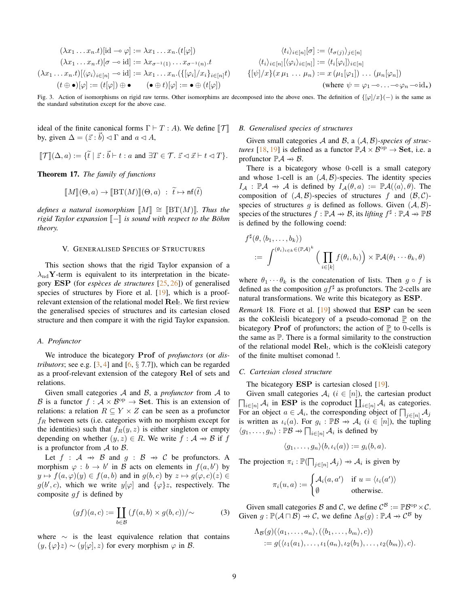$$
(\lambda x_1 \dots x_n.t)[id \neg \varphi] := \lambda x_1 \dots x_n.(t[\varphi])
$$

$$
(\lambda x_1 \dots x_n.t)[\sigma \neg \varphi] := \lambda x_{\sigma^{-1}(1)} \dots x_{\sigma^{-1}(n)}.t
$$

$$
(\lambda x_1 \dots x_n.t)[\langle \varphi_i \rangle_{i \in [n]} \neg \varphi \text{ id}] := \lambda x_1 \dots x_n.(\{[\varphi_i]/x_i\}_{i \in [n]}t)
$$

$$
(t \oplus \bullet)[\varphi] := (t[\varphi]) \oplus \bullet \qquad (\bullet \oplus t)[\varphi] := \bullet \oplus (t[\varphi])
$$

$$
\langle t_i \rangle_{i \in [n]} [\sigma] := \langle t_{\sigma(j)} \rangle_{j \in [n]}
$$

$$
\langle t_i \rangle_{i \in [n]} [\langle \varphi_i \rangle_{i \in [n]}] := \langle t_i [\varphi_i] \rangle_{i \in [n]}
$$

$$
\{ [\psi] / x \} (x \mu_1 \dots \mu_n) := x (\mu_1 [\varphi_1]) \dots (\mu_n [\varphi_n])
$$

$$
\text{(where } \psi = \varphi_1 \neg \dots \neg \varphi_n \neg \text{id}_\star)
$$

<span id="page-8-2"></span>Fig. 3. Action of isomorphisms on rigid raw terms. Other isomorphims are decomposed into the above ones. The definition of  $\{\varphi/x\}(-)$  is the same as the standard substitution except for the above case.

ideal of the finite canonical forms  $\Gamma \vdash T : A$ ). We define  $\Vert \mathcal{T} \Vert$ by, given  $\Delta = (\vec{z} : \vec{b}) \triangleleft \Gamma$  and  $a \triangleleft A$ ,

$$
\llbracket \mathcal{T} \rrbracket(\Delta, a) := \{ \tilde{t} \mid \vec{z} : \vec{b} \vdash t : a \text{ and } \exists T \in \mathcal{T}.\ \vec{z} \lhd \vec{x} \vdash t \lhd T \}.
$$

<span id="page-8-0"></span>Theorem 17. *The family of functions*

$$
\llbracket M \rrbracket(\Theta, a) \to \llbracket \operatorname{BT}(M) \rrbracket(\Theta, a) \; : \; \widetilde{t} \mapsto \mathsf{nf}(\widetilde{t})
$$

*defines a natural isomorphism*  $\llbracket M \rrbracket \cong \llbracket \text{BT}(M) \rrbracket$ *. Thus the rigid Taylor expansion*  $\llbracket - \rrbracket$  *is sound with respect to the Böhm theory.*

## V. GENERALISED SPECIES OF STRUCTURES

<span id="page-8-1"></span>This section shows that the rigid Taylor expansion of a  $\lambda_{\rm nd}$ Y-term is equivalent to its interpretation in the bicategory ESP (for *especes de structures `* [\[25,](#page-11-6) [26\]](#page-11-33)) of generalised species of structures by Fiore et al. [\[19\]](#page-11-9), which is a proofrelevant extension of the relational model  $\text{Rel}_1$ . We first review the generalised species of structures and its cartesian closed structure and then compare it with the rigid Taylor expansion.

## <span id="page-8-4"></span>*A. Profunctor*

We introduce the bicategory Prof of *profunctors* (or *distributors*; see e.g.  $\lceil 3, 4 \rceil$  and  $\lceil 6, \S$  7.7]), which can be regarded as a proof-relevant extension of the category Rel of sets and relations.

Given small categories A and B, a *profunctor* from A to B is a functor  $f : \mathcal{A} \times \mathcal{B}^{\text{op}} \to \mathbf{Set}$ . This is an extension of relations: a relation  $R \subseteq Y \times Z$  can be seen as a profunctor  $f_R$  between sets (i.e. categories with no morphism except for the identities) such that  $f_R(y, z)$  is either singleton or empty depending on whether  $(y, z) \in R$ . We write  $f : A \rightarrow B$  if f is a profunctor from  $\mathcal A$  to  $\mathcal B$ .

Let  $f : A \rightarrow B$  and  $g : B \rightarrow C$  be profunctors. A morphism  $\varphi : b \to b'$  in B acts on elements in  $f(a, b')$  by  $y \mapsto f(a, \varphi)(y) \in f(a, b)$  and in  $g(b, c)$  by  $z \mapsto g(\varphi, c)(z) \in$  $g(b', c)$ , which we write  $y[\varphi]$  and  $\{\varphi\}z$ , respectively. The composite  $gf$  is defined by

<span id="page-8-3"></span>
$$
(gf)(a,c) := \coprod_{b \in \mathcal{B}} (f(a,b) \times g(b,c)) / \sim
$$
 (3)

where  $~\sim~$  is the least equivalence relation that contains  $(y, {\varphi}z) \sim (y[\varphi], z)$  for every morphism  $\varphi$  in B.

## <span id="page-8-5"></span>*B. Generalised species of structures*

Given small categories A and B, a  $(A, B)$ -species of struc*tures* [\[18,](#page-11-8) [19\]](#page-11-9) is defined as a functor  $\mathbb{P}\mathcal{A} \times \mathcal{B}^{\text{op}} \to \mathbf{Set}$ , i.e. a profunctor  $\mathbb{P}\mathcal{A} \rightarrow \mathcal{B}$ .

There is a bicategory whose 0-cell is a small category and whose 1-cell is an  $(A, B)$ -species. The identity species  $I_A : \mathbb{P} A \to A$  is defined by  $I_A(\theta, a) := \mathbb{P} A(\langle a \rangle, \theta)$ . The composition of  $(A, B)$ -species of structures f and  $(B, C)$ species of structures q is defined as follows. Given  $(A, B)$ species of the structures  $f : \mathbb{P} \mathcal{A} \to \mathcal{B}$ , its *lifting*  $f^{\sharp} : \mathbb{P} \mathcal{A} \to \mathbb{P} \mathcal{B}$ is defined by the following coend:

$$
f^{\sharp}(\theta, \langle b_1, \ldots, b_k \rangle) = \int^{(\theta_i)_{i \in k} \in (\mathbb{P}\mathcal{A})^k} \Big( \prod_{i \in [k]} f(\theta_i, b_i) \Big) \times \mathbb{P}\mathcal{A}(\theta_1 \cdots \theta_k, \theta)
$$

where  $\theta_1 \cdots \theta_k$  is the concatenation of lists. Then  $g \circ f$  is defined as the composition  $gf^{\sharp}$  as profunctors. The 2-cells are natural transformations. We write this bicategory as ESP.

<span id="page-8-6"></span>*Remark* 18*.* Fiore et al. [\[19\]](#page-11-9) showed that ESP can be seen as the coKleisli bicategory of a pseudo-comonad  $\mathbb P$  on the bicategory **Prof** of profunctors; the action of  $P$  to 0-cells is the same as P. There is a formal similarity to the construction of the relational model Rel<sub>!</sub>, which is the coKleisli category of the finite multiset comonad !.

#### <span id="page-8-7"></span>*C. Cartesian closed structure*

The bicategory **ESP** is cartesian closed [\[19\]](#page-11-9).

Given small categories  $A_i$  ( $i \in [n]$ ), the cartesian product  $\prod_{i\in[n]} \mathcal{A}_i$  in ESP is the coproduct  $\coprod_{i\in[n]} \mathcal{A}_i$  as categories. For an object  $a \in \mathcal{A}_i$ , the corresponding object of  $\bigcap_{j \in [n]} \mathcal{A}_j$ is written as  $\iota_i(a)$ . For  $g_i : \mathbb{P}\mathcal{B} \to \mathcal{A}_i$   $(i \in [n])$ , the tupling  $\langle g_1, \ldots, g_n \rangle : \mathbb{P} \mathcal{B} \to \prod_{i \in [n]} \mathcal{A}_i$  is defined by

$$
\langle g_1,\ldots,g_n\rangle(b,\iota_i(a)):=g_i(b,a).
$$

The projection  $\pi_i : \mathbb{P}(\prod_{j \in [n]} \mathcal{A}_j) \to \mathcal{A}_i$  is given by

$$
\pi_i(u, a) := \begin{cases} \mathcal{A}_i(a, a') & \text{if } u = \langle \iota_i(a') \rangle \\ \emptyset & \text{otherwise.} \end{cases}
$$

Given small categories B and C, we define  $C^{\mathcal{B}} := \mathbb{P}\mathcal{B}^{\text{op}} \times \mathcal{C}$ . Given  $g : \mathbb{P}(\mathcal{A} \cap \mathcal{B}) \to \mathcal{C}$ , we define  $\Lambda_{\mathcal{B}}(g) : \mathbb{P}\mathcal{A} \to \mathcal{C}^{\mathcal{B}}$  by

$$
\Lambda_{\mathcal{B}}(g)(\langle a_1,\ldots,a_n\rangle,(\langle b_1,\ldots,b_m\rangle,c))
$$
  
:=  $g(\langle \iota_1(a_1),\ldots,\iota_1(a_n),\iota_2(b_1),\ldots,\iota_2(b_m)\rangle,c).$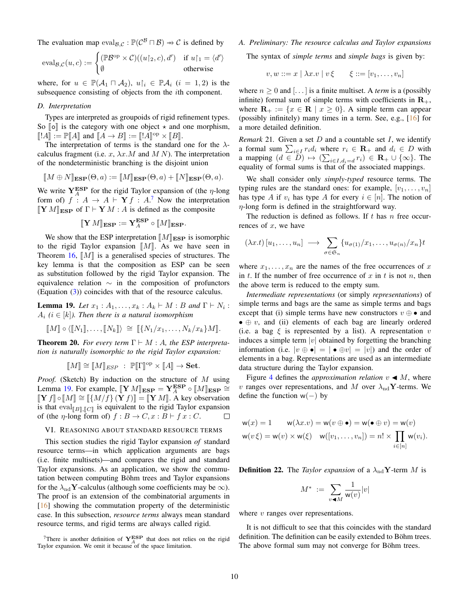The evaluation map  $eval_{\mathcal{B},\mathcal{C}} : \mathbb{P}(\mathcal{C}^{\mathcal{B}} \cap \mathcal{B}) \to \mathcal{C}$  is defined by

$$
eval_{\mathcal{B},\mathcal{C}}(u,c) := \begin{cases} (\mathbb{P}\mathcal{B}^{\mathrm{op}} \times \mathcal{C})((u|_{2},c),d') & \text{if } u|_{1} = \langle d' \rangle \\ \emptyset & \text{otherwise} \end{cases}
$$

where, for  $u \in \mathbb{P}(\mathcal{A}_1 \cap \mathcal{A}_2), u|_i \in \mathbb{P}\mathcal{A}_i$   $(i = 1, 2)$  is the subsequence consisting of objects from the ith component.

#### *D. Interpretation*

Types are interpreted as groupoids of rigid refinement types. So  $\llbracket \circ \rrbracket$  is the category with one object  $\star$  and one morphism,  $[[A]] := \mathbb{P}[A]$  and  $[[A \rightarrow B]] := [[A]]^{\text{op}} \times [[B]].$ <br>The interpretation of terms is the standard

The interpretation of terms is the standard one for the  $\lambda$ calculus fragment (i.e.  $x$ ,  $\lambda x.M$  and  $M N$ ). The interpretation of the nondeterministic branching is the disjoint union

$$
[\![M \oplus N]\!]_{\mathbf{ESP}}(\Theta, a) := [\![M]\!]_{\mathbf{ESP}}(\Theta, a) + [\![N]\!]_{\mathbf{ESP}}(\Theta, a).
$$

We write  $Y_A^{ESP}$  for the rigid Taylor expansion of (the  $\eta$ -long form of)  $f : A \to A \vdash Y f : A$ .<sup>[7](#page-9-0)</sup> Now the interpretation  $[\![\mathbf{Y}\,M]\!]_{\text{ESP}}$  of  $\Gamma \vdash \mathbf{Y}\,M : A$  is defined as the composite

$$
[\![\mathbf{Y}\,M]\!]_{\mathbf{ESP}} := \mathbf{Y}_A^{\mathbf{ESP}} \circ [\![M]\!]_{\mathbf{ESP}}.
$$

We show that the ESP interpretation  $\|M\|_{\text{ESP}}$  is isomorphic to the rigid Taylor expansion  $\llbracket M \rrbracket$ . As we have seen in Theorem [16,](#page-7-4)  $\llbracket M \rrbracket$  is a generalised species of structures. The key lemma is that the composition as ESP can be seen as substitution followed by the rigid Taylor expansion. The equivalence relation  $\sim$  in the composition of profunctors (Equation [\(3\)](#page-8-3)) coincides with that of the resource calculus.

<span id="page-9-1"></span>**Lemma 19.** *Let*  $x_1 : A_1, \ldots, x_k : A_k \vdash M : B$  *and*  $\Gamma \vdash N_i :$  $A_i$  ( $i \in [k]$ ). Then there is a natural isomorphism

$$
\llbracket M \rrbracket \circ \langle \llbracket N_1 \rrbracket, \ldots, \llbracket N_k \rrbracket \rangle \cong \llbracket \{ N_1/x_1, \ldots, N_k/x_k \} M \rrbracket.
$$

**Theorem 20.** For every term  $\Gamma \vdash M : A$ , the ESP interpreta*tion is naturally isomorphic to the rigid Taylor expansion:*

$$
\llbracket M \rrbracket \cong \llbracket M \rrbracket_{ESP} \; : \; \mathbb{P}[\![\Gamma]\!]^{\text{op}} \times [\![A]\!] \to \mathbf{Set}.
$$

*Proof.* (Sketch) By induction on the structure of M using Lemma [19.](#page-9-1) For example,  $[\![\mathbf{Y} \, M]\!]_{\text{ESP}} = \mathbf{Y}_A^{\text{ESP}} \circ [M]\!]_{\text{ESP}} \cong$ <br> $[\![\mathbf{X} \, f]\!] \cong [[(M/f)] \cdot (\mathbf{Y} \, f)] = [\![\mathbf{X} \, M]\!] \wedge$  key observation  $[\![\mathbf{Y} f]\!] \circ [\![M]\!] \cong [\![\{M/f\} (\mathbf{Y} f)]\!] = [\![\mathbf{Y} M]\!]$ . A key observation is that  $eval_{[B],[C]}$  is equivalent to the rigid Taylor expansion<br>of (the plane form of) f i  $B \rightarrow C$  as  $B + f$  as  $C = \Box$ of (the  $\eta$ -long form of)  $f : B \to C$ ,  $x : B \vdash f x : C$ .  $\Box$ 

#### <span id="page-9-2"></span>VI. REASONING ABOUT STANDARD RESOURCE TERMS

This section studies the rigid Taylor expansion *of* standard resource terms—in which application arguments are bags (i.e. finite multisets)—and compares the rigid and standard Taylor expansions. As an application, we show the commutation between computing Böhm trees and Taylor expansions for the  $\lambda_{\rm nd}$ **Y**-calculus (although some coefficients may be  $\infty$ ). The proof is an extension of the combinatorial arguments in [\[16\]](#page-11-5) showing the commutation property of the deterministic case. In this subsection, *resource terms* always mean standard resource terms, and rigid terms are always called rigid.

<span id="page-9-0"></span><sup>7</sup>There is another definition of  $Y_A^{ESP}$  that does not relies on the rigid Taylor expansion. We omit it because of the space limitation.

## <span id="page-9-3"></span>*A. Preliminary: The resource calculus and Taylor expansions*

The syntax of *simple terms* and *simple bags* is given by:

$$
v, w ::= x \mid \lambda x. v \mid v \xi \qquad \xi ::= [v_1, \ldots, v_n]
$$

where  $n \geq 0$  and [...] is a finite multiset. A *term* is a (possibly infinite) formal sum of simple terms with coefficients in  $\mathbf{R}_{+}$ , where  $\mathbf{R}_{+} := \{x \in \mathbf{R} \mid x \geq 0\}$ . A simple term can appear (possibly infinitely) many times in a term. See, e.g., [\[16\]](#page-11-5) for a more detailed definition.

*Remark* 21. Given a set  $D$  and a countable set  $I$ , we identify a formal sum  $\sum_{i \in I} r_i d_i$  where  $r_i \in \mathbf{R}_+$  and  $d_i \in D$  with a mapping  $(d \in \overline{D}) \mapsto (\sum_{i \in I, d_i = d} r_i) \in \mathbf{R}_+ \cup \{\infty\}$ . The equality of formal sums is that of the associated mappings.

We shall consider only *simply-typed* resource terms. The typing rules are the standard ones: for example,  $[v_1, \ldots, v_n]$ has type A if  $v_i$  has type A for every  $i \in [n]$ . The notion of  $\eta$ -long form is defined in the straightforward way.

The reduction is defined as follows. If  $t$  has  $n$  free occurrences of  $x$ , we have

$$
(\lambda x.t) [u_1, \ldots, u_n] \longrightarrow \sum_{\sigma \in \mathfrak{S}_n} \{u_{\sigma(1)}/x_1, \ldots, u_{\sigma(n)}/x_n\}t
$$

where  $x_1, \ldots, x_n$  are the names of the free occurrences of x in t. If the number of free occurrence of x in t is not n, then the above term is reduced to the empty sum.

*Intermediate representations* (or simply *representations*) of simple terms and bags are the same as simple terms and bags except that (i) simple terms have new constructors  $v \oplus \bullet$  and •  $\oplus$  v, and (ii) elements of each bag are linearly ordered (i.e. a bag  $\xi$  is represented by a list). A representation v induces a simple term  $|v|$  obtained by forgetting the branching information (i.e.  $|v \oplus \bullet| = |\bullet \oplus v| = |v|$ ) and the order of elements in a bag. Representations are used as an intermediate data structure during the Taylor expansion.

Figure [4](#page-10-0) defines the *approximation relation*  $v \triangleleft M$ , where v ranges over representations, and M over  $\lambda_{\rm nd}$ Y-terms. We define the function  $w(-)$  by

$$
w(x) = 1 \qquad w(\lambda x.v) = w(v \oplus \bullet) = w(\bullet \oplus v) = w(v)
$$
  

$$
w(v\xi) = w(v) \times w(\xi) \quad w([v_1, \dots, v_n]) = n! \times \prod_{i \in [n]} w(v_i).
$$

**Definition 22.** The *Taylor expansion* of a  $\lambda_{\text{nd}}$ **Y**-term *M* is

$$
M^* \ := \ \sum_{v \blacktriangleleft M} \frac{1}{\mathsf{w}(v)} |v|
$$

where  $v$  ranges over representations.

It is not difficult to see that this coincides with the standard definition. The definition can be easily extended to Böhm trees. The above formal sum may not converge for Böhm trees.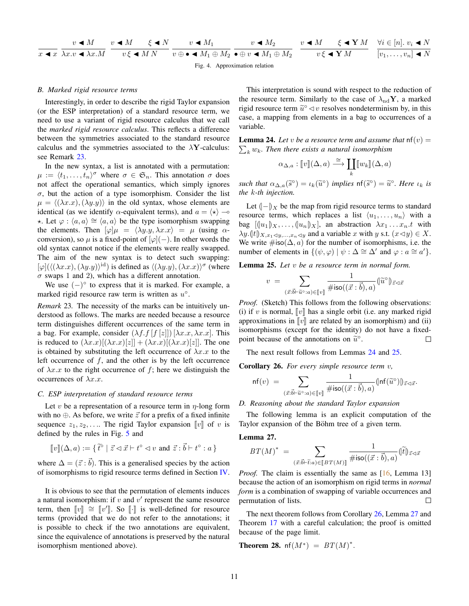| $v \blacktriangleleft M$ |  |  | $v \blacktriangleleft M$ $\epsilon \blacktriangleleft N$ $v \blacktriangleleft M_1$ |                                |                                                                                                                                                                                                                        |  | $v \blacktriangleleft M_2$ $v \blacktriangleleft M$ $\xi \blacktriangleleft Y M$ $\forall i \in [n]$ , $v_i \blacktriangleleft N$ |
|--------------------------|--|--|-------------------------------------------------------------------------------------|--------------------------------|------------------------------------------------------------------------------------------------------------------------------------------------------------------------------------------------------------------------|--|-----------------------------------------------------------------------------------------------------------------------------------|
|                          |  |  |                                                                                     |                                | $x \blacktriangleleft x \lambda x \cdot v \blacktriangleleft x \cdot M$ $v \xi \blacktriangleleft M N$ $v \oplus \blacktriangleleft M_1 \oplus M_2$ $\blacktriangleleft M_1 \oplus M_2$ $v \xi \blacktriangleleft Y M$ |  | $[v_1,\ldots,v_n] \blacktriangleleft N$                                                                                           |
|                          |  |  |                                                                                     | Fig. 4. Approximation relation |                                                                                                                                                                                                                        |  |                                                                                                                                   |

## *B. Marked rigid resource terms*

Interestingly, in order to describe the rigid Taylor expansion (or the ESP interpretation) of a standard resource term, we need to use a variant of rigid resource calculus that we call the *marked rigid resource calculus*. This reflects a difference between the symmetries associated to the standard resource calculus and the symmetries associated to the  $\lambda$ **Y**-calculus: see Remark [23.](#page-10-1)

In the new syntax, a list is annotated with a permutation:  $\mu := \langle t_1, \ldots, t_n \rangle^{\sigma}$  where  $\sigma \in \mathfrak{S}_n$ . This annotation  $\sigma$  does not affect the operational semantics, which simply ignores  $\sigma$ , but the action of a type isomorphism. Consider the list  $\mu = \langle (\lambda x.x),(\lambda y.y) \rangle$  in the old syntax, whose elements are identical (as we identify  $\alpha$ -equivalent terms), and  $a = \langle \star \rangle$   $\sim$  $\star$ . Let  $\varphi$  :  $\langle a, a \rangle \cong \langle a, a \rangle$  be the type isomorphism swapping the elements. Then  $[\varphi] \mu = \langle \lambda y \cdot y, \lambda x \cdot x \rangle = \mu$  (using  $\alpha$ conversion), so  $\mu$  is a fixed-point of  $[\varphi](-)$ . In other words the old syntax cannot notice if the elements were really swapped. The aim of the new syntax is to detect such swapping:  $[\varphi]$ ( $\langle (\lambda x.x),(\lambda y.y)\rangle^{\text{id}}$ ) is defined as  $\langle (\lambda y.y),(\lambda x.x)\rangle^{\sigma}$  (where  $\sigma$  swaps 1 and 2), which has a different annotation.

We use  $(-)^\circ$  to express that it is marked. For example, a marked rigid resource raw term is written as  $u^{\circ}$ .

<span id="page-10-1"></span>*Remark* 23*.* The necessity of the marks can be intuitively understood as follows. The marks are needed because a resource term distinguishes different occurrences of the same term in a bag. For example, consider  $(\lambda f.f[f(z]]) [\lambda x.x, \lambda x.x]$ . This is reduced to  $(\lambda x.x)[(\lambda x.x)[z]] + (\lambda x.x)[(\lambda x.x)[z]]$ . The one is obtained by substituting the left occurrence of  $\lambda x.x$  to the left occurrence of  $f$ , and the other is by the left occurrence of  $\lambda x.x$  to the right occurrence of f; here we distinguish the occurrences of  $\lambda x.x$ .

#### *C. ESP interpretation of standard resource terms*

Let v be a representation of a resource term in  $\eta$ -long form with no  $\oplus$ . As before, we write  $\vec{z}$  for a prefix of a fixed infinite sequence  $z_1, z_2, \ldots$  The rigid Taylor expansion  $\llbracket v \rrbracket$  of v is defined by the rules in Fig. [5](#page-11-37) and

$$
[\![v]\!](\Delta, a) := \{ \widetilde{t}^{\circ} \mid \vec{z} \lhd \vec{x} \vdash t^{\circ} \lhd v \text{ and } \vec{z} \, : \vec{b} \vdash t^{\circ} : a \}
$$

where  $\Delta = (\vec{z} : \vec{b})$ . This is a generalised species by the action of isomorphisms to rigid resource terms defined in Section [IV.](#page-5-0)

It is obvious to see that the permutation of elements induces a natural isomorphism: if  $v$  and  $v'$  represent the same resource term, then  $[v] \cong [v']$ . So  $[[\cdot]]$  is well-defined for resource terms (provided that we do not refer to the annotations; it is possible to check if the two annotations are equivalent, since the equivalence of annotations is preserved by the natural isomorphism mentioned above).

<span id="page-10-0"></span>This interpretation is sound with respect to the reduction of the resource term. Similarly to the case of  $\lambda_{\rm nd}$ **Y**, a marked rigid resource term  $\tilde{u}^{\circ} \triangleleft v$  resolves nondeterminism by, in this case, a manning from elements in a bag to eccurrence of a case, a mapping from elements in a bag to occurrences of a variable.

<span id="page-10-2"></span>**Lemma 24.** Let *v* be a resource term and assume that  $nf(v) =$  $\sum_k w_k$ . Then there exists a natural isomorphism

$$
\alpha_{\Delta,a} : [v](\Delta, a) \xrightarrow{\cong} \coprod_k [w_k](\Delta, a)
$$

*such that*  $\alpha_{\Delta,a}(\tilde{s}^{\circ}) = \iota_k(\tilde{u}^{\circ})$  *implies*  $\text{nf}(\tilde{s}^{\circ}) = \tilde{u}^{\circ}$ *. Here*  $\iota_k$  *is* the *k i* is the *k i* is the *k i* is the *k i* is the *k i* is the *k i* is the *k i* is the *k i the* k*-th injection.*

Let  $(-)$ <sub>X</sub> be the map from rigid resource terms to standard resource terms, which replaces a list  $\langle u_1, \ldots, u_n \rangle$  with a bag  $[(\lbrace u_1 \rbrace)_X, \ldots, (\lbrace u_n \rbrace)_X]$ , an abstraction  $\lambda x_1 \ldots x_n.t$  with  $\lambda y. (|t|)_{X,x_1\leq y,\ldots,x_n\leq y}$  and a variable x with y s.t.  $(x\leq y) \in X$ . We write  $\# \text{iso}(\Delta, a)$  for the number of isomorphisms, i.e. the number of elements in  $\{(\psi, \varphi) | \psi : \Delta \cong \Delta' \text{ and } \varphi : a \cong a'\}.$ 

<span id="page-10-3"></span>Lemma 25. *Let* v *be a resource term in normal form.*

$$
v = \sum_{(\vec{x}:\vec{b}\vdash \widetilde{u}^{\circ}:a)\in[\![v]\!]} \frac{1}{\#\text{iso}((\vec{x}:\vec{b}),a)} \langle \widetilde{u}^{\circ}\rangle_{\vec{z}\lhd\vec{x}}
$$

*Proof.* (Sketch) This follows from the following observations: (i) if v is normal,  $\llbracket v \rrbracket$  has a single orbit (i.e. any marked rigid approximations in  $\llbracket v \rrbracket$  are related by an isomorphism) and (ii) isomorphisms (except for the identity) do not have a fixedpoint because of the annotations on  $\tilde{u}^{\circ}$ .  $\Box$ 

The next result follows from Lemmas [24](#page-10-2) and [25.](#page-10-3)

<span id="page-10-4"></span>Corollary 26. *For every simple resource term* v*,*

$$
\mathsf{nf}(v) \; = \; \sum_{(\vec{x}:\vec{b}\vdash \widetilde{u}\circ : a) \in [\![v]\!]} \frac{1}{\# \mathsf{iso}((\vec{x}:\vec{b}),a)} \langle \mathsf{Inf}(\widetilde{u}^{\circ}) \rangle_{\vec{z}\lhd \vec{x}}.
$$

#### *D. Reasoning about the standard Taylor expansion*

The following lemma is an explicit computation of the Taylor expansion of the Böhm tree of a given term.

<span id="page-10-5"></span>Lemma 27.

$$
BT(M)^* = \sum_{(\vec{x}:\vec{b} \vdash \tilde{t}:a) \in [BT(M)]} \frac{1}{\#\text{iso}((\vec{x}:\vec{b}),a)} (\widetilde{t})_{\vec{z} \lhd \vec{x}}
$$

*Proof.* The claim is essentially the same as [\[16,](#page-11-5) Lemma 13] because the action of an isomorphism on rigid terms in *normal form* is a combination of swapping of variable occurrences and permutation of lists.  $\Box$ 

The next theorem follows from Corollary [26,](#page-10-4) Lemma [27](#page-10-5) and Theorem [17](#page-8-0) with a careful calculation; the proof is omitted because of the page limit.

**Theorem 28.**  $n f(M^*) = BT(M)^*$ .